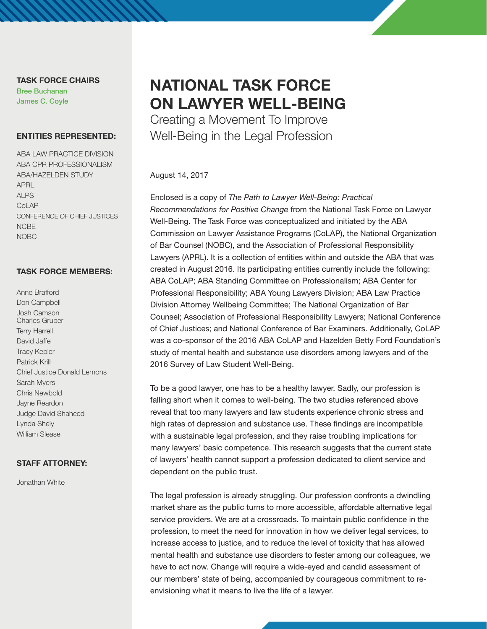**TASK FORCE CHAIRS** Bree Buchanan James C. Coyle

#### **ENTITIES REPRESENTED:**

ABA LAW PRACTICE DIVISION ABA CPR PROFESSIONALISM ABA/HAZELDEN STUDY APRL ALPS **CoLAP** CONFERENCE OF CHIEF JUSTICES **NCBE** NOBC

### **TASK FORCE MEMBERS:**

Anne Brafford Don Campbell Josh Camson Charles Gruber Terry Harrell David Jaffe Tracy Kepler Patrick Krill Chief Justice Donald Lemons Sarah Myers Chris Newbold Jayne Reardon Judge David Shaheed Lynda Shely William Slease

### **STAFF ATTORNEY:**

Jonathan White

# **NATIONAL TASK FORCE ON LAWYER WELL-BEING**

Creating a Movement To Improve Well-Being in the Legal Profession

#### August 14, 2017

Enclosed is a copy of *The Path to Lawyer Well-Being: Practical Recommendations for Positive Change* from the National Task Force on Lawyer Well-Being. The Task Force was conceptualized and initiated by the ABA Commission on Lawyer Assistance Programs (CoLAP), the National Organization of Bar Counsel (NOBC), and the Association of Professional Responsibility Lawyers (APRL). It is a collection of entities within and outside the ABA that was created in August 2016. Its participating entities currently include the following: ABA CoLAP; ABA Standing Committee on Professionalism; ABA Center for Professional Responsibility; ABA Young Lawyers Division; ABA Law Practice Division Attorney Wellbeing Committee; The National Organization of Bar Counsel; Association of Professional Responsibility Lawyers; National Conference of Chief Justices; and National Conference of Bar Examiners. Additionally, CoLAP was a co-sponsor of the 2016 ABA CoLAP and Hazelden Betty Ford Foundation's study of mental health and substance use disorders among lawyers and of the 2016 Survey of Law Student Well-Being.

To be a good lawyer, one has to be a healthy lawyer. Sadly, our profession is falling short when it comes to well-being. The two studies referenced above reveal that too many lawyers and law students experience chronic stress and high rates of depression and substance use. These findings are incompatible with a sustainable legal profession, and they raise troubling implications for many lawyers' basic competence. This research suggests that the current state of lawyers' health cannot support a profession dedicated to client service and dependent on the public trust.

The legal profession is already struggling. Our profession confronts a dwindling market share as the public turns to more accessible, affordable alternative legal service providers. We are at a crossroads. To maintain public confidence in the profession, to meet the need for innovation in how we deliver legal services, to increase access to justice, and to reduce the level of toxicity that has allowed mental health and substance use disorders to fester among our colleagues, we have to act now. Change will require a wide-eyed and candid assessment of our members' state of being, accompanied by courageous commitment to reenvisioning what it means to live the life of a lawyer.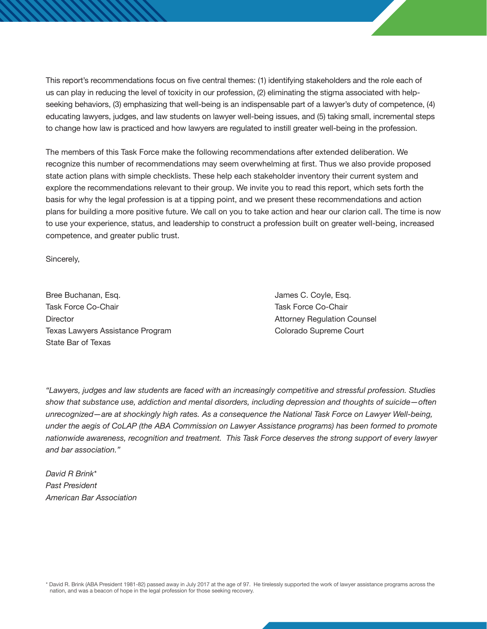This report's recommendations focus on five central themes: (1) identifying stakeholders and the role each of us can play in reducing the level of toxicity in our profession, (2) eliminating the stigma associated with helpseeking behaviors, (3) emphasizing that well-being is an indispensable part of a lawyer's duty of competence, (4) educating lawyers, judges, and law students on lawyer well-being issues, and (5) taking small, incremental steps to change how law is practiced and how lawyers are regulated to instill greater well-being in the profession.

The members of this Task Force make the following recommendations after extended deliberation. We recognize this number of recommendations may seem overwhelming at first. Thus we also provide proposed state action plans with simple checklists. These help each stakeholder inventory their current system and explore the recommendations relevant to their group. We invite you to read this report, which sets forth the basis for why the legal profession is at a tipping point, and we present these recommendations and action plans for building a more positive future. We call on you to take action and hear our clarion call. The time is now to use your experience, status, and leadership to construct a profession built on greater well-being, increased competence, and greater public trust.

Sincerely,

Bree Buchanan, Esq. James C. Coyle, Esq. James C. Coyle, Esq. Task Force Co-Chair Task Force Co-Chair Director **Attorney Regulation Counsel** Texas Lawyers Assistance Program Colorado Supreme Court State Bar of Texas

*"Lawyers, judges and law students are faced with an increasingly competitive and stressful profession. Studies show that substance use, addiction and mental disorders, including depression and thoughts of suicide—often unrecognized—are at shockingly high rates. As a consequence the National Task Force on Lawyer Well-being, under the aegis of CoLAP (the ABA Commission on Lawyer Assistance programs) has been formed to promote nationwide awareness, recognition and treatment. This Task Force deserves the strong support of every lawyer and bar association."*

*David R Brink\* Past President American Bar Association* 

\* David R. Brink (ABA President 1981-82) passed away in July 2017 at the age of 97. He tirelessly supported the work of lawyer assistance programs across the nation, and was a beacon of hope in the legal profession for those seeking recovery.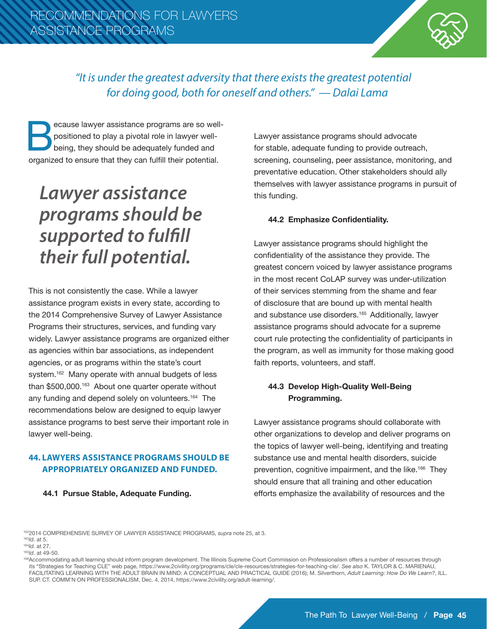

# *"It is under the greatest adversity that there exists the greatest potential for doing good, both for oneself and others." — Dalai Lama*

ecause lawyer assistance programs are so well-<br>positioned to play a pivotal role in lawyer well-<br>being, they should be adequately funded and<br>organized to ensure that they can fulfill their potential. positioned to play a pivotal role in lawyer wellbeing, they should be adequately funded and organized to ensure that they can fulfill their potential.

# *Lawyer assistance programs should be supported to fulfill their full potential.*

This is not consistently the case. While a lawyer assistance program exists in every state, according to the 2014 Comprehensive Survey of Lawyer Assistance Programs their structures, services, and funding vary widely. Lawyer assistance programs are organized either as agencies within bar associations, as independent agencies, or as programs within the state's court system.<sup>162</sup> Many operate with annual budgets of less than \$500,000.<sup>163</sup> About one quarter operate without any funding and depend solely on volunteers.<sup>164</sup> The recommendations below are designed to equip lawyer assistance programs to best serve their important role in lawyer well-being.

## **44. LAWYERS ASSISTANCE PROGRAMS SHOULD BE APPROPRIATELY ORGANIZED AND FUNDED.**

**44.1 Pursue Stable, Adequate Funding.** 

Lawyer assistance programs should advocate for stable, adequate funding to provide outreach, screening, counseling, peer assistance, monitoring, and preventative education. Other stakeholders should ally themselves with lawyer assistance programs in pursuit of this funding.

### **44.2 Emphasize Confidentiality.**

Lawyer assistance programs should highlight the confidentiality of the assistance they provide. The greatest concern voiced by lawyer assistance programs in the most recent CoLAP survey was under-utilization of their services stemming from the shame and fear of disclosure that are bound up with mental health and substance use disorders.<sup>165</sup> Additionally, lawyer assistance programs should advocate for a supreme court rule protecting the confidentiality of participants in the program, as well as immunity for those making good faith reports, volunteers, and staff.

# **44.3 Develop High-Quality Well-Being Programming.**

Lawyer assistance programs should collaborate with other organizations to develop and deliver programs on the topics of lawyer well-being, identifying and treating substance use and mental health disorders, suicide prevention, cognitive impairment, and the like.<sup>166</sup> They should ensure that all training and other education efforts emphasize the availability of resources and the

1622014 COMPREHENSIVE SURVEY OF LAWYER ASSISTANCE PROGRAMS, *supra* note 25, at 3.

166Accommodating adult learning should inform program development. The Illinois Supreme Court Commission on Professionalism offers a number of resources through its "Strategies for Teaching CLE" web page, https://www.2civility.org/programs/cle/cle-resources/strategies-for-teaching-cle/. *See also* K. TAYLOR & C. MARIENAU, FACILITATING LEARNING WITH THE ADULT BRAIN IN MIND: A CONCEPTUAL AND PRACTICAL GUIDE (2016); M. Silverthorn, *Adult Learning: How Do We Learn?*, ILL. SUP. CT. COMM'N ON PROFESSIONALISM, Dec. 4, 2014, https://www.2civility.org/adult-learning/.

<sup>163</sup>*Id.* at 5.

<sup>164</sup>*Id.* at 27.

<sup>165</sup>*Id.* at 49-50.